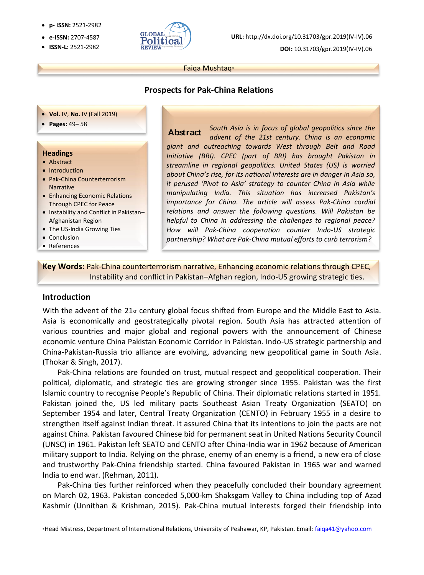- **p- ISSN:** 2521-2982
- 
- 



### Faiqa Mushtaq\*

## **Prospects for Pak-China Relations**

- **Vol.** IV, **No.** IV (Fall 2019)
- 

### **Headings**

- Abstract
- Introduction
- Pak-China Counterterrorism **Narrative**
- Enhancing Economic Relations Through CPEC for Peace
- Instability and Conflict in Pakistan– Afghanistan Region
- The US-India Growing Ties
- Conclusion
- References

**Abstract** • **Pages:** <sup>49</sup>– <sup>58</sup> *South Asia is in focus of global geopolitics since the advent of the 21st century. China is an economic giant and outreaching towards West through Belt and Road Initiative (BRI). CPEC (part of BRI) has brought Pakistan in streamline in regional geopolitics. United States (US) is worried about China's rise, for its national interests are in danger in Asia so, it perused 'Pivot to Asia' strategy to counter China in Asia while manipulating India. This situation has increased Pakistan's importance for China. The article will assess Pak-China cordial relations and answer the following questions. Will Pakistan be helpful to China in addressing the challenges to regional peace? How will Pak-China cooperation counter Indo-US strategic partnership? What are Pak-China mutual efforts to curb terrorism?* 

**Key Words:** Pak-China counterterrorism narrative, Enhancing economic relations through CPEC, Instability and conflict in Pakistan–Afghan region, Indo-US growing strategic ties.

### **Introduction**

With the advent of the 21st century global focus shifted from Europe and the Middle East to Asia. Asia is economically and geostrategically pivotal region. South Asia has attracted attention of various countries and major global and regional powers with the announcement of Chinese economic venture China Pakistan Economic Corridor in Pakistan. Indo-US strategic partnership and China-Pakistan-Russia trio alliance are evolving, advancing new geopolitical game in South Asia. (Thokar & Singh, 2017).

Pak-China relations are founded on trust, mutual respect and geopolitical cooperation. Their political, diplomatic, and strategic ties are growing stronger since 1955. Pakistan was the first Islamic country to recognise People's Republic of China. Their diplomatic relations started in 1951. Pakistan joined the, US led military pacts Southeast Asian Treaty Organization (SEATO) on September 1954 and later, Central Treaty Organization (CENTO) in February 1955 in a desire to strengthen itself against Indian threat. It assured China that its intentions to join the pacts are not against China. Pakistan favoured Chinese bid for permanent seat in United Nations Security Council (UNSC) in 1961. Pakistan left SEATO and CENTO after China-India war in 1962 because of American military support to India. Relying on the phrase, enemy of an enemy is a friend, a new era of close and trustworthy Pak-China friendship started. China favoured Pakistan in 1965 war and warned India to end war. (Rehman, 2011).

Pak-China ties further reinforced when they peacefully concluded their boundary agreement on March 02, 1963. Pakistan conceded 5,000-km Shaksgam Valley to China including top of Azad Kashmir (Unnithan & Krishman, 2015). Pak-China mutual interests forged their friendship into

\*Head Mistress, Department of International Relations, University of Peshawar, KP, Pakistan. Email[: faiqa41@yahoo.com](mailto:faiqa41@yahoo.com)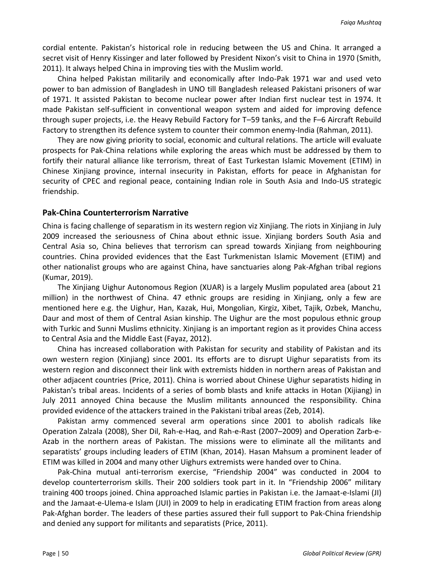cordial entente. Pakistan's historical role in reducing between the US and China. It arranged a secret visit of Henry Kissinger and later followed by President Nixon's visit to China in 1970 (Smith, 2011). It always helped China in improving ties with the Muslim world.

China helped Pakistan militarily and economically after Indo-Pak 1971 war and used veto power to ban admission of Bangladesh in UNO till Bangladesh released Pakistani prisoners of war of 1971. It assisted Pakistan to become nuclear power after Indian first nuclear test in 1974. It made Pakistan self-sufficient in conventional weapon system and aided for improving defence through super projects, i.e. the Heavy Rebuild Factory for T–59 tanks, and the F–6 Aircraft Rebuild Factory to strengthen its defence system to counter their common enemy-India (Rahman, 2011).

They are now giving priority to social, economic and cultural relations. The article will evaluate prospects for Pak-China relations while exploring the areas which must be addressed by them to fortify their natural alliance like terrorism, threat of East Turkestan Islamic Movement (ETIM) in Chinese Xinjiang province, internal insecurity in Pakistan, efforts for peace in Afghanistan for security of CPEC and regional peace, containing Indian role in South Asia and Indo-US strategic friendship.

### **Pak-China Counterterrorism Narrative**

China is facing challenge of separatism in its western region viz Xinjiang. The riots in Xinjiang in July 2009 increased the seriousness of China about ethnic issue. Xinjiang borders South Asia and Central Asia so, China believes that terrorism can spread towards Xinjiang from neighbouring countries. China provided evidences that the East Turkmenistan Islamic Movement (ETIM) and other nationalist groups who are against China, have sanctuaries along Pak-Afghan tribal regions (Kumar, 2019).

The Xinjiang Uighur Autonomous Region (XUAR) is a largely Muslim populated area (about 21 million) in the northwest of China. 47 ethnic groups are residing in Xinjiang, only a few are mentioned here e.g. the Uighur, Han, Kazak, Hui, Mongolian, Kirgiz, Xibet, Tajik, Ozbek, Manchu, Daur and most of them of Central Asian kinship. The Uighur are the most populous ethnic group with Turkic and Sunni Muslims ethnicity. Xinjiang is an important region as it provides China access to Central Asia and the Middle East (Fayaz, 2012).

China has increased collaboration with Pakistan for security and stability of Pakistan and its own western region (Xinjiang) since 2001. Its efforts are to disrupt Uighur separatists from its western region and disconnect their link with extremists hidden in northern areas of Pakistan and other adjacent countries (Price, 2011). China is worried about Chinese Uighur separatists hiding in Pakistan's tribal areas. Incidents of a series of bomb blasts and knife attacks in Hotan (Xijiang) in July 2011 annoyed China because the Muslim militants announced the responsibility. China provided evidence of the attackers trained in the Pakistani tribal areas (Zeb, 2014).

Pakistan army commenced several arm operations since 2001 to abolish radicals like Operation Zalzala (2008), Sher Dil, Rah-e-Haq, and Rah-e-Rast (2007–2009) and Operation Zarb-e-Azab in the northern areas of Pakistan. The missions were to eliminate all the militants and separatists' groups including leaders of ETIM (Khan, 2014). Hasan Mahsum a prominent leader of ETIM was killed in 2004 and many other Uighurs extremists were handed over to China.

Pak-China mutual anti-terrorism exercise, "Friendship 2004" was conducted in 2004 to develop counterterrorism skills. Their 200 soldiers took part in it. In "Friendship 2006" military training 400 troops joined. China approached Islamic parties in Pakistan i.e. the Jamaat-e-Islami (JI) and the Jamaat-e-Ulema-e Islam (JUI) in 2009 to help in eradicating ETIM fraction from areas along Pak-Afghan border. The leaders of these parties assured their full support to Pak-China friendship and denied any support for militants and separatists (Price, 2011).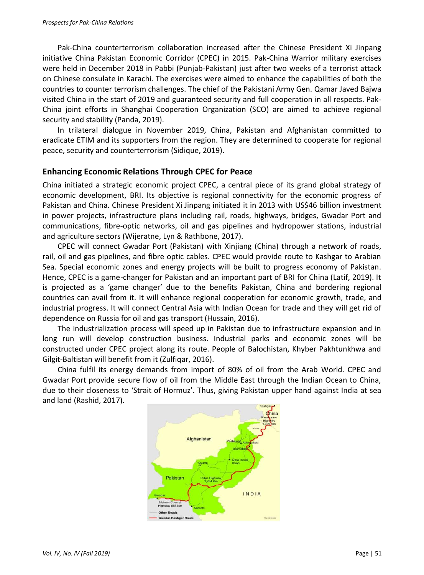Pak-China counterterrorism collaboration increased after the Chinese President Xi Jinpang initiative China Pakistan Economic Corridor (CPEC) in 2015. Pak-China Warrior military exercises were held in December 2018 in Pabbi (Punjab-Pakistan) just after two weeks of a terrorist attack on Chinese consulate in Karachi. The exercises were aimed to enhance the capabilities of both the countries to counter terrorism challenges. The chief of the Pakistani Army Gen. Qamar Javed Bajwa visited China in the start of 2019 and guaranteed security and full cooperation in all respects. Pak-China joint efforts in Shanghai Cooperation Organization (SCO) are aimed to achieve regional security and stability (Panda, 2019).

In trilateral dialogue in November 2019, China, Pakistan and Afghanistan committed to eradicate ETIM and its supporters from the region. They are determined to cooperate for regional peace, security and counterterrorism (Sidique, 2019).

## **Enhancing Economic Relations Through CPEC for Peace**

China initiated a strategic economic project CPEC, a central piece of its grand global strategy of economic development, BRI. Its objective is regional connectivity for the economic progress of Pakistan and China. Chinese President Xi Jinpang initiated it in 2013 with US\$46 billion investment in power projects, infrastructure plans including rail, roads, highways, bridges, Gwadar Port and communications, fibre-optic networks, oil and gas pipelines and hydropower stations, industrial and agriculture sectors (Wijeratne, Lyn & Rathbone, 2017).

CPEC will connect Gwadar Port (Pakistan) with Xinjiang (China) through a network of roads, rail, oil and gas pipelines, and fibre optic cables. CPEC would provide route to Kashgar to Arabian Sea. Special economic zones and energy projects will be built to progress economy of Pakistan. Hence, CPEC is a game-changer for Pakistan and an important part of BRI for China (Latif, 2019). It is projected as a 'game changer' due to the benefits Pakistan, China and bordering regional countries can avail from it. It will enhance regional cooperation for economic growth, trade, and industrial progress. It will connect Central Asia with Indian Ocean for trade and they will get rid of dependence on Russia for oil and gas transport (Hussain, 2016).

The industrialization process will speed up in Pakistan due to infrastructure expansion and in long run will develop construction business. Industrial parks and economic zones will be constructed under CPEC project along its route. People of Balochistan, Khyber Pakhtunkhwa and Gilgit-Baltistan will benefit from it (Zulfiqar, 2016).

China fulfil its energy demands from import of 80% of oil from the Arab World. CPEC and Gwadar Port provide secure flow of oil from the Middle East through the Indian Ocean to China, due to their closeness to 'Strait of Hormuz'. Thus, giving Pakistan upper hand against India at sea and land (Rashid, 2017).

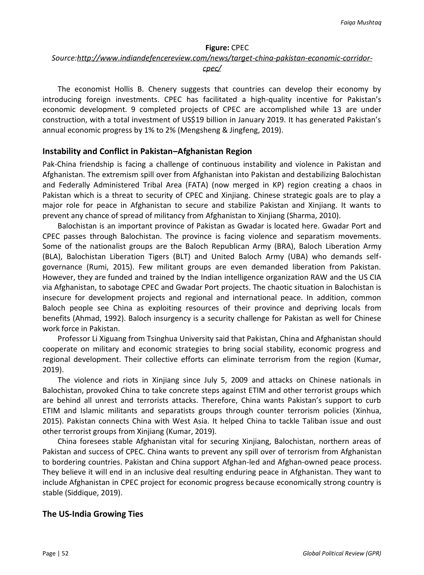# **Figure:** CPEC *Sourc[e:http://www.indiandefencereview.com/news/target-china-pakistan-economic-corridor-](http://www.indiandefencereview.com/news/target-china-pakistan-economic-corridor-cpec/)*

*[cpec/](http://www.indiandefencereview.com/news/target-china-pakistan-economic-corridor-cpec/)*

The economist Hollis B. Chenery suggests that countries can develop their economy by introducing foreign investments. CPEC has facilitated a high-quality incentive for Pakistan's economic development. 9 completed projects of CPEC are accomplished while 13 are under construction, with a total investment of US\$19 billion in January 2019. It has generated Pakistan's annual economic progress by 1% to 2% (Mengsheng & Jingfeng, 2019).

## **Instability and Conflict in Pakistan–Afghanistan Region**

Pak-China friendship is facing a challenge of continuous instability and violence in Pakistan and Afghanistan. The extremism spill over from Afghanistan into Pakistan and destabilizing Balochistan and Federally Administered Tribal Area (FATA) (now merged in KP) region creating a chaos in Pakistan which is a threat to security of CPEC and Xinjiang. Chinese strategic goals are to play a major role for peace in Afghanistan to secure and stabilize Pakistan and Xinjiang. It wants to prevent any chance of spread of militancy from Afghanistan to Xinjiang [\(Sharma, 2010\)](https://journals.sagepub.com/doi/full/10.1177/0974928419841769).

Balochistan is an important province of Pakistan as Gwadar is located here. Gwadar Port and CPEC passes through Balochistan. The province is facing violence and separatism movements. Some of the nationalist groups are the Baloch Republican Army (BRA), Baloch Liberation Army (BLA), Balochistan Liberation Tigers (BLT) and United Baloch Army (UBA) who demands selfgovernance (Rumi, 2015). Few militant groups are even demanded liberation from Pakistan. However, they are funded and trained by the Indian intelligence organization RAW and the US CIA via Afghanistan, to sabotage CPEC and Gwadar Port projects. The chaotic situation in Balochistan is insecure for development projects and regional and international peace. In addition, common Baloch people see China as exploiting resources of their province and depriving locals from benefits (Ahmad, 1992). Baloch insurgency is a security challenge for Pakistan as well for Chinese work force in Pakistan.

Professor Li Xiguang from Tsinghua University said that Pakistan, China and Afghanistan should cooperate on military and economic strategies to bring social stability, economic progress and regional development. Their collective efforts can eliminate terrorism from the region (Kumar, 2019).

The violence and riots in Xinjiang since July 5, 2009 and attacks on Chinese nationals in Balochistan, provoked China to take concrete steps against ETIM and other terrorist groups which are behind all unrest and terrorists attacks. Therefore, China wants Pakistan's support to curb ETIM and Islamic militants and separatists groups through counter terrorism policies [\(Xinhua,](https://journals.sagepub.com/doi/full/10.1177/0974928419841769)  [2015\)](https://journals.sagepub.com/doi/full/10.1177/0974928419841769). Pakistan connects China with West Asia. It helped China to tackle Taliban issue and oust other terrorist groups from Xinjiang (Kumar, 2019).

China foresees stable Afghanistan vital for securing Xinjiang, Balochistan, northern areas of Pakistan and success of CPEC. China wants to prevent any spill over of terrorism from Afghanistan to bordering countries. Pakistan and China support Afghan-led and Afghan-owned peace process. They believe it will end in an inclusive deal resulting enduring peace in Afghanistan. They want to include Afghanistan in CPEC project for economic progress because economically strong country is stable (Siddique, 2019).

# **The US-India Growing Ties**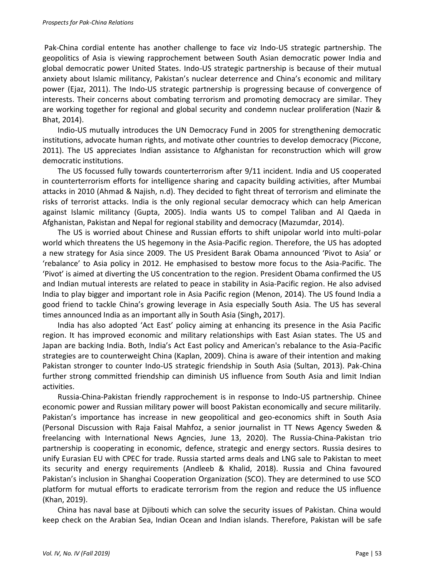Pak-China cordial entente has another challenge to face viz Indo-US strategic partnership. The geopolitics of Asia is viewing rapprochement between South Asian democratic power India and global democratic power United States. Indo-US strategic partnership is because of their mutual anxiety about Islamic militancy, Pakistan's nuclear deterrence and China's economic and military power (Ejaz, 2011). The Indo-US strategic partnership is progressing because of convergence of interests. Their concerns about combating terrorism and promoting democracy are similar. They are working together for regional and global security and condemn nuclear proliferation (Nazir & Bhat, 2014).

Indio-US mutually introduces the UN Democracy Fund in 2005 for strengthening democratic institutions, advocate human rights, and motivate other countries to develop democracy (Piccone, 2011). The US appreciates Indian assistance to Afghanistan for reconstruction which will grow democratic institutions.

The US focussed fully towards counterterrorism after 9/11 incident. India and US cooperated in counterterrorism efforts for intelligence sharing and capacity building activities, after Mumbai attacks in 2010 (Ahmad & Najish, n.d). They decided to fight threat of terrorism and eliminate the risks of terrorist attacks. India is the only regional secular democracy which can help American against Islamic militancy (Gupta, 2005). India wants US to compel Taliban and Al Qaeda in Afghanistan, Pakistan and Nepal for regional stability and democracy (Mazumdar, 2014).

The US is worried about Chinese and Russian efforts to shift unipolar world into multi-polar world which threatens the US hegemony in the Asia-Pacific region. Therefore, the US has adopted a new strategy for Asia since 2009. The US President Barak Obama announced 'Pivot to Asia' or 'rebalance' to Asia policy in 2012. He emphasised to bestow more focus to the Asia-Pacific. The 'Pivot' is aimed at diverting the US concentration to the region. President Obama confirmed the US and Indian mutual interests are related to peace in stability in Asia-Pacific region. He also advised India to play bigger and important role in Asia Pacific region (Menon, 2014). The US found India a good friend to tackle China's growing leverage in Asia especially South Asia. The US has several times announced India as an important ally in South Asia (Singh**,** 2017).

India has also adopted 'Act East' policy aiming at enhancing its presence in the Asia Pacific region. It has improved economic and military relationships with East Asian states. The US and Japan are backing India. Both, India's Act East policy and American's rebalance to the Asia-Pacific strategies are to counterweight China (Kaplan, 2009). China is aware of their intention and making Pakistan stronger to counter Indo-US strategic friendship in South Asia (Sultan, 2013). Pak-China further strong committed friendship can diminish US influence from South Asia and limit Indian activities.

Russia-China-Pakistan friendly rapprochement is in response to Indo-US partnership. Chinee economic power and Russian military power will boost Pakistan economically and secure militarily. Pakistan's importance has increase in new geopolitical and geo-economics shift in South Asia (Personal Discussion with Raja Faisal Mahfoz, a senior journalist in TT News Agency Sweden & freelancing with International News Agncies, June 13, 2020). The Russia-China-Pakistan trio partnership is cooperating in economic, defence, strategic and energy sectors. Russia desires to unify Eurasian EU with CPEC for trade. Russia started arms deals and LNG sale to Pakistan to meet its security and energy requirements (Andleeb & Khalid, 2018). Russia and China favoured Pakistan's inclusion in Shanghai Cooperation Organization (SCO). They are determined to use SCO platform for mutual efforts to eradicate terrorism from the region and reduce the US influence (Khan, 2019).

China has naval base at Djibouti which can solve the security issues of Pakistan. China would keep check on the Arabian Sea, Indian Ocean and Indian islands. Therefore, Pakistan will be safe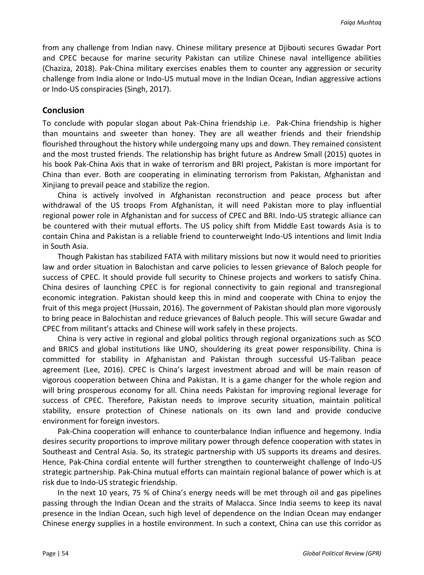from any challenge from Indian navy. Chinese military presence at Djibouti secures Gwadar Port and CPEC because for marine security Pakistan can utilize Chinese naval intelligence abilities (Chaziza, 2018). Pak-China military exercises enables them to counter any aggression or security challenge from India alone or Indo-US mutual move in the Indian Ocean, Indian aggressive actions or Indo-US conspiracies (Singh, 2017).

### **Conclusion**

To conclude with popular slogan about Pak-China friendship i.e. Pak-China friendship is higher than mountains and sweeter than honey. They are all weather friends and their friendship flourished throughout the history while undergoing many ups and down. They remained consistent and the most trusted friends. The relationship has bright future as Andrew Small (2015) quotes in his book Pak-China Axis that in wake of terrorism and BRI project, Pakistan is more important for China than ever. Both are cooperating in eliminating terrorism from Pakistan, Afghanistan and Xinjiang to prevail peace and stabilize the region.

China is actively involved in Afghanistan reconstruction and peace process but after withdrawal of the US troops From Afghanistan, it will need Pakistan more to play influential regional power role in Afghanistan and for success of CPEC and BRI. Indo-US strategic alliance can be countered with their mutual efforts. The US policy shift from Middle East towards Asia is to contain China and Pakistan is a reliable friend to counterweight Indo-US intentions and limit India in South Asia.

Though Pakistan has stabilized FATA with military missions but now it would need to priorities law and order situation in Balochistan and carve policies to lessen grievance of Baloch people for success of CPEC. It should provide full security to Chinese projects and workers to satisfy China. China desires of launching CPEC is for regional connectivity to gain regional and transregional economic integration. Pakistan should keep this in mind and cooperate with China to enjoy the fruit of this mega project (Hussain, 2016). The government of Pakistan should plan more vigorously to bring peace in Balochistan and reduce grievances of Baluch people. This will secure Gwadar and CPEC from militant's attacks and Chinese will work safely in these projects.

China is very active in regional and global politics through regional organizations such as SCO and BRICS and global institutions like UNO, shouldering its great power responsibility. China is committed for stability in Afghanistan and Pakistan through successful US-Taliban peace agreement (Lee, 2016). CPEC is China's largest investment abroad and will be main reason of vigorous cooperation between China and Pakistan. It is a game changer for the whole region and will bring prosperous economy for all. China needs Pakistan for improving regional leverage for success of CPEC. Therefore, Pakistan needs to improve security situation, maintain political stability, ensure protection of Chinese nationals on its own land and provide conducive environment for foreign investors.

Pak-China cooperation will enhance to counterbalance Indian influence and hegemony. India desires security proportions to improve military power through defence cooperation with states in Southeast and Central Asia. So, its strategic partnership with US supports its dreams and desires. Hence, Pak-China cordial entente will further strengthen to counterweight challenge of Indo-US strategic partnership. Pak-China mutual efforts can maintain regional balance of power which is at risk due to Indo-US strategic friendship.

In the next 10 years, 75 % of China's energy needs will be met through oil and gas pipelines passing through the Indian Ocean and the straits of Malacca. Since India seems to keep its naval presence in the Indian Ocean, such high level of dependence on the Indian Ocean may endanger Chinese energy supplies in a hostile environment. In such a context, China can use this corridor as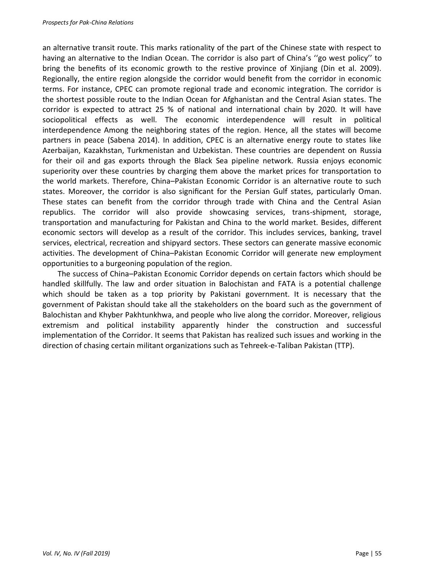an alternative transit route. This marks rationality of the part of the Chinese state with respect to having an alternative to the Indian Ocean. The corridor is also part of China's ''go west policy'' to bring the benefits of its economic growth to the restive province of Xinjiang (Din et al. 2009). Regionally, the entire region alongside the corridor would benefit from the corridor in economic terms. For instance, CPEC can promote regional trade and economic integration. The corridor is the shortest possible route to the Indian Ocean for Afghanistan and the Central Asian states. The corridor is expected to attract 25 % of national and international chain by 2020. It will have sociopolitical effects as well. The economic interdependence will result in political interdependence Among the neighboring states of the region. Hence, all the states will become partners in peace (Sabena 2014). In addition, CPEC is an alternative energy route to states like Azerbaijan, Kazakhstan, Turkmenistan and Uzbekistan. These countries are dependent on Russia for their oil and gas exports through the Black Sea pipeline network. Russia enjoys economic superiority over these countries by charging them above the market prices for transportation to the world markets. Therefore, China–Pakistan Economic Corridor is an alternative route to such states. Moreover, the corridor is also significant for the Persian Gulf states, particularly Oman. These states can benefit from the corridor through trade with China and the Central Asian republics. The corridor will also provide showcasing services, trans-shipment, storage, transportation and manufacturing for Pakistan and China to the world market. Besides, different economic sectors will develop as a result of the corridor. This includes services, banking, travel services, electrical, recreation and shipyard sectors. These sectors can generate massive economic activities. The development of China–Pakistan Economic Corridor will generate new employment opportunities to a burgeoning population of the region.

The success of China–Pakistan Economic Corridor depends on certain factors which should be handled skillfully. The law and order situation in Balochistan and FATA is a potential challenge which should be taken as a top priority by Pakistani government. It is necessary that the government of Pakistan should take all the stakeholders on the board such as the government of Balochistan and Khyber Pakhtunkhwa, and people who live along the corridor. Moreover, religious extremism and political instability apparently hinder the construction and successful implementation of the Corridor. It seems that Pakistan has realized such issues and working in the direction of chasing certain militant organizations such as Tehreek-e-Taliban Pakistan (TTP).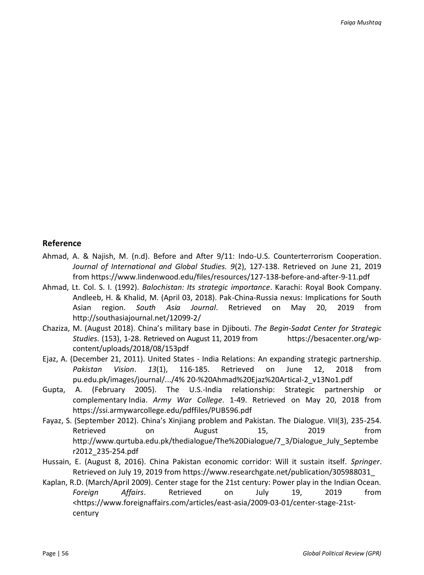# **Reference**

- Ahmad, A. & Najish, M. (n.d). Before and After 9/11: Indo-U.S. Counterterrorism Cooperation. *Journal of International and Global Studies. 9*(2), 127-138. Retrieved on June 21, 2019 fro[m https://www.lindenwood.edu/files/resources/127-138-before-and-after-9-11.pdf](https://www.lindenwood.edu/files/resources/127-138-before-and-after-9-11.pdf)
- Ahmad, Lt. Col. S. I. (1992). *Balochistan: Its strategic importance*. Karachi: Royal Book Company. Andleeb, H. & Khalid, M. (April 03, 2018). Pak-China-Russia nexus: Implications for South Asian region. *South Asia Journal*. Retrieved on May 20, 2019 from <http://southasiajournal.net/12099-2/>
- Chaziza, M. (August 2018). China's military base in Djibouti. *The Begin-Sadat Center for Strategic Studies.* (153), 1-28. Retrieved on August 11, 2019 from [https://besacenter.org/wp](https://besacenter.org/wp-content/uploads/2018/08/153pdf)[content/uploads/2018/08/153pdf](https://besacenter.org/wp-content/uploads/2018/08/153pdf)
- Ejaz, A. (December 21, 2011). United States India Relations: An expanding strategic partnership. *Pakistan Vision*. *13*(1), 116-185. Retrieved on June 12, 2018 from pu.edu.pk/images/journal/.../4% 20-%20Ahmad%20Ejaz%20Artical-2\_v13No1.pdf
- Gupta, A. (February 2005). The U.S.-India relationship: Strategic partnership or complementary India. *Army War College*. 1-49. Retrieved on May 20, 2018 from <https://ssi.armywarcollege.edu/pdffiles/PUB596.pdf>
- Fayaz, S. (September 2012). China's Xinjiang problem and Pakistan. The Dialogue. VII(3), 235-254. Retrieved on August 15, 2019 from [http://www.qurtuba.edu.pk/thedialogue/The%20Dialogue/7\\_3/Dialogue\\_July\\_Septembe](http://www.qurtuba.edu.pk/thedialogue/The%20Dialogue/7_3/Dialogue_July_September2012_235-254.pdf) [r2012\\_235-254.pdf](http://www.qurtuba.edu.pk/thedialogue/The%20Dialogue/7_3/Dialogue_July_September2012_235-254.pdf)
- Hussain, E. (August 8, 2016). China Pakistan economic corridor: Will it sustain itself. *Springer*. Retrieved on July 19, 2019 from [https://www.researchgate.net/publication/305988031\\_](https://www.researchgate.net/publication/305988031_)
- Kaplan, R.D. (March/April 2009). Center stage for the 21st century: Power play in the Indian Ocean. *Foreign Affairs*. Retrieved on July 19, 2019 from <https://www.foreignaffairs.com/articles/east-asia/2009-03-01/center-stage-21stcentury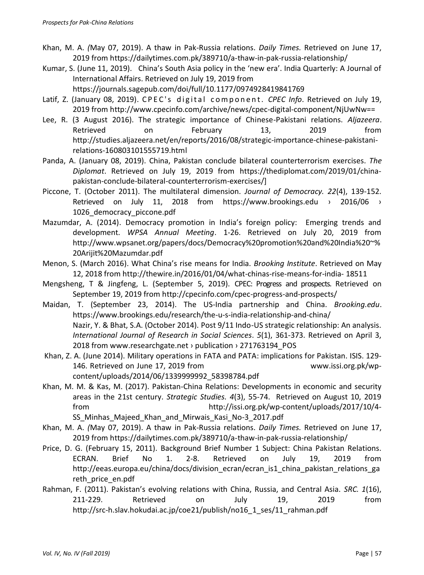- Khan, M. A. *(*May 07, 2019). A thaw in Pak-Russia relations. *Daily Times.* Retrieved on June 17, 2019 from <https://dailytimes.com.pk/389710/a-thaw-in-pak-russia-relationship/>
- [Kumar,](https://journals.sagepub.com/doi/full/10.1177/0974928419841769) S. (June 11, 2019). China's South Asia policy in the 'new era'. India Quarterly: A Journal of International Affairs. Retrieved on July 19, 2019 from
- <https://journals.sagepub.com/doi/full/10.1177/0974928419841769> Latif, Z. (January 08, 2019). CPEC's digital component. CPEC Info. Retrieved on July 19,

2019 from<http://www.cpecinfo.com/archive/news/cpec-digital-component/NjUwNw==>

- Lee, R. (3 August 2016). The strategic importance of Chinese-Pakistani relations. *Aljazeera*. Retrieved on February 13, 2019 from [http://studies.aljazeera.net/en/reports/2016/08/strategic-importance-chinese-pakistani](http://studies.aljazeera.net/en/reports/2016/08/strategic-importance-chinese-pakistani-relations-160803101555719.html)[relations-160803101555719.html](http://studies.aljazeera.net/en/reports/2016/08/strategic-importance-chinese-pakistani-relations-160803101555719.html)
- [Panda,](https://thediplomat.com/authors/ankit-panda/) A. (January 08, 2019). China, Pakistan conclude bilateral counterterrorism exercises. *The Diplomat*. Retrieved on July 19, 2019 from [https://thediplomat.com/2019/01/china](https://thediplomat.com/2019/01/china-pakistan-conclude-bilateral-counterterrorism-exercises/)[pakistan-conclude-bilateral-counterterrorism-exercises/\]](https://thediplomat.com/2019/01/china-pakistan-conclude-bilateral-counterterrorism-exercises/)
- Piccone, T. (October 2011). The multilateral dimension. *Journal of Democracy. 22*(4), 139-152. Retrieved on July 11, 2018 from https://www.brookings.edu > 2016/06 > 1026 democracy piccone.pdf
- Mazumdar, A. (2014). Democracy promotion in India's foreign policy: Emerging trends and development. *WPSA Annual Meeting*. 1-26. Retrieved on July 20, 2019 from [http://www.wpsanet.org/papers/docs/Democracy%20promotion%20and%20India%20~%](http://www.wpsanet.org/papers/docs/Democracy%20promotion%20and%20India%20~%20Arijit%20Mazumdar.pdf) [20Arijit%20Mazumdar.pdf](http://www.wpsanet.org/papers/docs/Democracy%20promotion%20and%20India%20~%20Arijit%20Mazumdar.pdf)
- Menon, S. (March 2016). What China's rise means for India. *Brooking Institute*. Retrieved on May 12, 2018 from http://thewire.in/2016/01/04/what-chinas-rise-means-for-india- 18511
- Mengsheng, T & Jingfeng, L. (September 5, 2019). CPEC: Progress and prospects. Retrieved on September 19, 2019 from <http://cpecinfo.com/cpec-progress-and-prospects/>
- Maidan, T. (September 23, 2014). The US-India partnership and China. *Brooking.edu*. <https://www.brookings.edu/research/the-u-s-india-relationship-and-china/> Nazir, Y. & Bhat, S.A. (October 2014). Post 9/11 Indo-US strategic relationship: An analysis. *International Journal of Research in Social Sciences*. *5*(1), 361-373. Retrieved on April 3, 2018 from www.researchgate.net › publication › 271763194\_POS
- Khan, Z. A. (June 2014). Military operations in FATA and PATA: implications for Pakistan. ISIS. 129- 146. Retrieved on June 17, 2019 from [www.issi.org.pk/wp](http://www.issi.org.pk/wp-content/uploads/2014/06/1339999992_58398784.pdf)[content/uploads/2014/06/1339999992\\_58398784.pdf](http://www.issi.org.pk/wp-content/uploads/2014/06/1339999992_58398784.pdf)
- Khan, M. M. & Kas, M. (2017). Pakistan-China Relations: Developments in economic and security areas in the 21st century. *Strategic Studies. 4*(3), 55-74. Retrieved on August 10, 2019 from [http://issi.org.pk/wp-content/uploads/2017/10/4-](http://issi.org.pk/wp-content/uploads/2017/10/4-SS_Minhas_Majeed_Khan_and_Mirwais_Kasi_No-3_2017.pdf) [SS\\_Minhas\\_Majeed\\_Khan\\_and\\_Mirwais\\_Kasi\\_No-3\\_2017.pdf](http://issi.org.pk/wp-content/uploads/2017/10/4-SS_Minhas_Majeed_Khan_and_Mirwais_Kasi_No-3_2017.pdf)
- Khan, M. A. *(*May 07, 2019). A thaw in Pak-Russia relations. *Daily Times.* Retrieved on June 17, 2019 from <https://dailytimes.com.pk/389710/a-thaw-in-pak-russia-relationship/>
- Price, D. G. (February 15, 2011). Background Brief Number 1 Subject: China Pakistan Relations. ECRAN. Brief No 1. 2-8. Retrieved on July 19, 2019 from [http://eeas.europa.eu/china/docs/division\\_ecran/ecran\\_is1\\_china\\_pakistan\\_relations\\_ga](http://eeas.europa.eu/china/docs/division_ecran/ecran_is1_china_pakistan_relations_gareth_price_en.pdf) [reth\\_price\\_en.pdf](http://eeas.europa.eu/china/docs/division_ecran/ecran_is1_china_pakistan_relations_gareth_price_en.pdf)
- Rahman, F. (2011). Pakistan's evolving relations with China, Russia, and Central Asia. *SRC. 1*(16), 211-229. Retrieved on July 19, 2019 from http://src-h.slav.hokudai.ac.jp/coe21/publish/no16\_1\_ses/11\_rahman.pdf